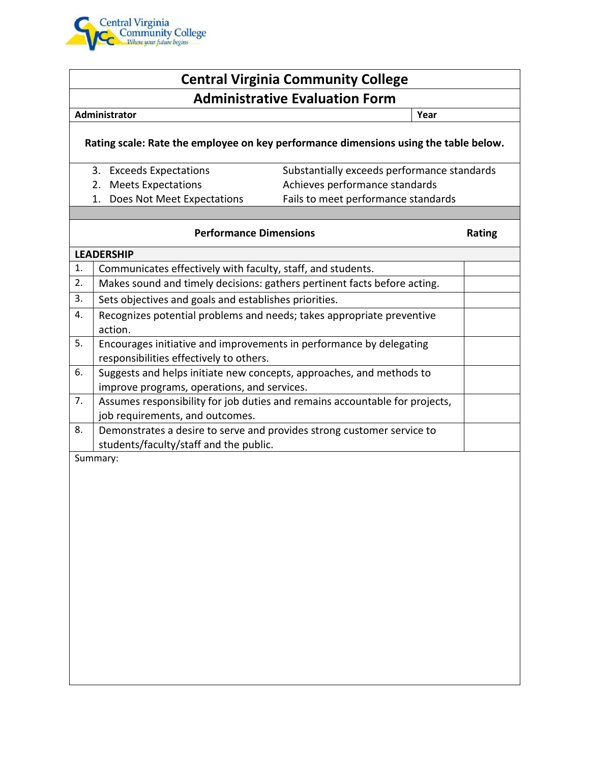

## **Central Virginia Community College Administrative Evaluation Form**

#### **Administrator Year**

### **Rating scale: Rate the employee on key performance dimensions using the table below.**

- 3. Exceeds Expectations Substantially exceeds performance standards
- 
- 2. Meets Expectations **Achieves** performance standards
- 
- 1. Does Not Meet Expectations Fails to meet performance standards

### **Performance Dimensions Rating**

| <b>LEADERSHIP</b> |                                                                                                                     |  |
|-------------------|---------------------------------------------------------------------------------------------------------------------|--|
| 1.                | Communicates effectively with faculty, staff, and students.                                                         |  |
| 2.                | Makes sound and timely decisions: gathers pertinent facts before acting.                                            |  |
| 3.                | Sets objectives and goals and establishes priorities.                                                               |  |
| 4.                | Recognizes potential problems and needs; takes appropriate preventive<br>action.                                    |  |
| 5.                | Encourages initiative and improvements in performance by delegating<br>responsibilities effectively to others.      |  |
| 6.                | Suggests and helps initiate new concepts, approaches, and methods to<br>improve programs, operations, and services. |  |
| 7.                | Assumes responsibility for job duties and remains accountable for projects,<br>job requirements, and outcomes.      |  |
| 8.                | Demonstrates a desire to serve and provides strong customer service to<br>students/faculty/staff and the public.    |  |
| Summary:          |                                                                                                                     |  |
|                   |                                                                                                                     |  |
|                   |                                                                                                                     |  |
|                   |                                                                                                                     |  |
|                   |                                                                                                                     |  |
|                   |                                                                                                                     |  |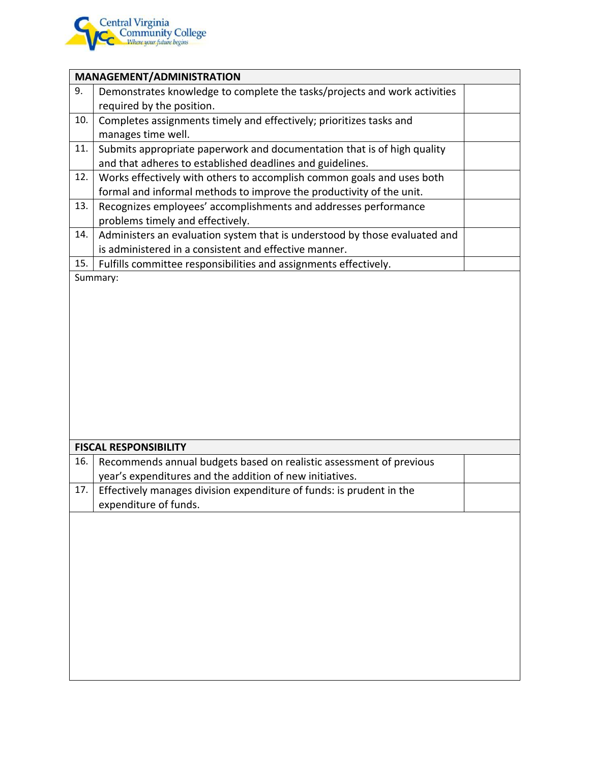

# **MANAGEMENT/ADMINISTRATION** 9. Demonstrates knowledge to complete the tasks/projects and work activities required by the position. 10. Completes assignments timely and effectively; prioritizes tasks and manages time well. 11. Submits appropriate paperwork and documentation that is of high quality and that adheres to established deadlines and guidelines. 12. Works effectively with others to accomplish common goals and uses both formal and informal methods to improve the productivity of the unit. 13. Recognizes employees' accomplishments and addresses performance problems timely and effectively. 14. Administers an evaluation system that is understood by those evaluated and is administered in a consistent and effective manner. 15. Fulfills committee responsibilities and assignments effectively. Summary: **FISCAL RESPONSIBILITY** 16. Recommends annual budgets based on realistic assessment of previous year's expenditures and the addition of new initiatives. 17. Effectively manages division expenditure of funds: is prudent in the expenditure of funds.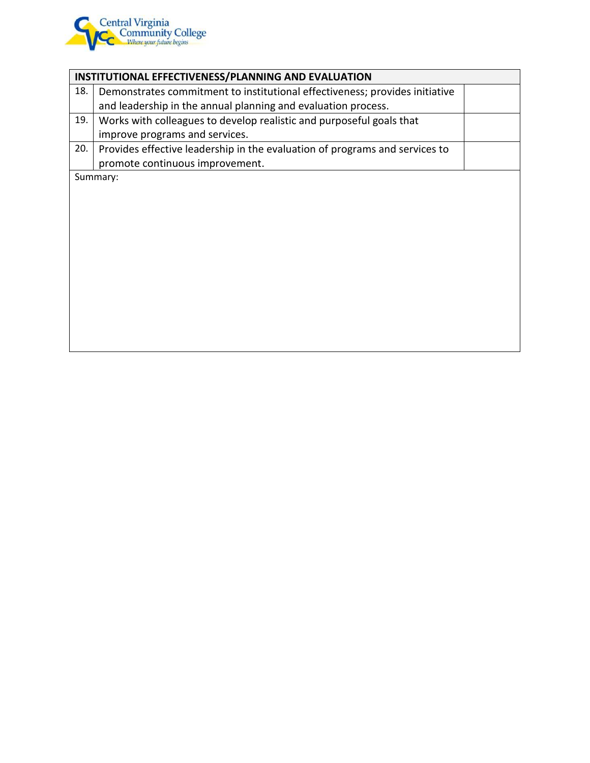

| INSTITUTIONAL EFFECTIVENESS/PLANNING AND EVALUATION |                                                                             |  |
|-----------------------------------------------------|-----------------------------------------------------------------------------|--|
| 18.                                                 | Demonstrates commitment to institutional effectiveness; provides initiative |  |
|                                                     | and leadership in the annual planning and evaluation process.               |  |
| 19.                                                 | Works with colleagues to develop realistic and purposeful goals that        |  |
|                                                     | improve programs and services.                                              |  |
| 20.                                                 | Provides effective leadership in the evaluation of programs and services to |  |
|                                                     | promote continuous improvement.                                             |  |
| Summary:                                            |                                                                             |  |
|                                                     |                                                                             |  |
|                                                     |                                                                             |  |
|                                                     |                                                                             |  |
|                                                     |                                                                             |  |
|                                                     |                                                                             |  |
|                                                     |                                                                             |  |
|                                                     |                                                                             |  |
|                                                     |                                                                             |  |
|                                                     |                                                                             |  |
|                                                     |                                                                             |  |
|                                                     |                                                                             |  |
|                                                     |                                                                             |  |